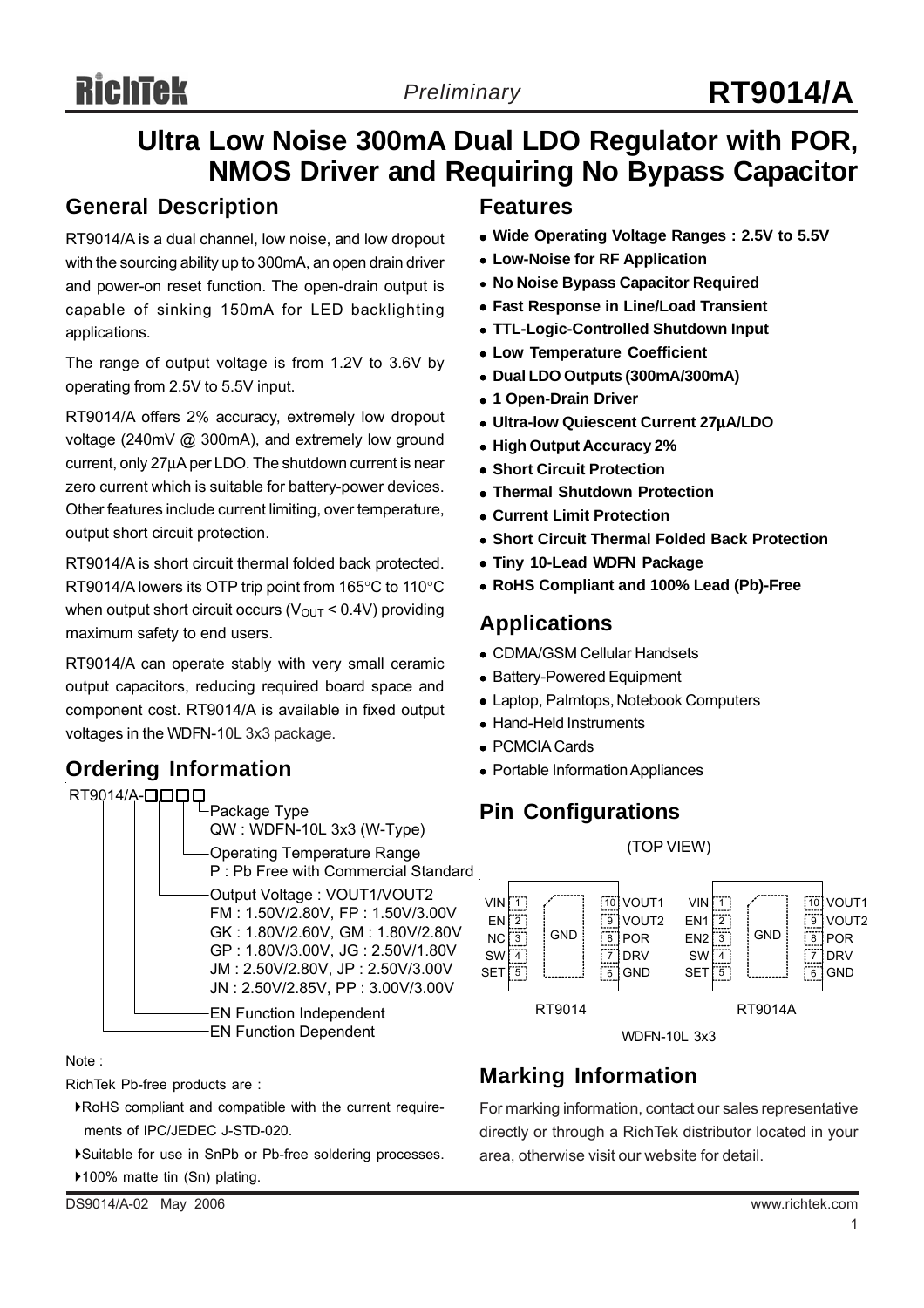# **RichTek**

# **Ultra Low Noise 300mA Dual LDO Regulator with POR, NMOS Driver and Requiring No Bypass Capacitor**

#### **General Description**

RT9014/A is a dual channel, low noise, and low dropout with the sourcing ability up to 300mA, an open drain driver and power-on reset function. The open-drain output is capable of sinking 150mA for LED backlighting applications.

The range of output voltage is from 1.2V to 3.6V by operating from 2.5V to 5.5V input.

RT9014/A offers 2% accuracy, extremely low dropout voltage (240mV @ 300mA), and extremely low ground current, only 27μA per LDO. The shutdown current is near zero current which is suitable for battery-power devices. Other features include current limiting, over temperature, output short circuit protection.

RT9014/A is short circuit thermal folded back protected. RT9014/A lowers its OTP trip point from 165°C to 110°C when output short circuit occurs ( $V_{OUT}$  < 0.4V) providing maximum safety to end users.

RT9014/A can operate stably with very small ceramic output capacitors, reducing required board space and component cost. RT9014/A is available in fixed output voltages in the WDFN-10L 3x3 package.

### **Ordering Information**



#### Note :

RichTek Pb-free products are :

- `RoHS compliant and compatible with the current require ments of IPC/JEDEC J-STD-020.
- `Suitable for use in SnPb or Pb-free soldering processes.

#### ▶100% matte tin (Sn) plating.

DS9014/A-02 May 2006 www.richtek.com

#### **Features**

- Wide Operating Voltage Ranges: 2.5V to 5.5V
- **Low-Noise for RF Application**
- <sup>z</sup> **No Noise Bypass Capacitor Required**
- **Fast Response in Line/Load Transient**
- <sup>z</sup> **TTL-Logic-Controlled Shutdown Input**
- **Low Temperature Coefficient**
- <sup>z</sup> **Dual LDO Outputs (300mA/300mA)**
- $\bullet$  **1 Open-Drain Driver**
- <sup>z</sup> **Ultra-low Quiescent Current 27**μ**A/LDO**
- <sup>z</sup> **High Output Accuracy 2%**
- **Short Circuit Protection**
- **Thermal Shutdown Protection**
- <sup>z</sup> **Current Limit Protection**
- **Short Circuit Thermal Folded Back Protection**
- **Tiny 10-Lead WDFN Package**
- <sup>z</sup> **RoHS Compliant and 100% Lead (Pb)-Free**

#### **Applications**

- CDMA/GSM Cellular Handsets
- Battery-Powered Equipment
- Laptop, Palmtops, Notebook Computers
- Hand-Held Instruments
- PCMCIA Cards
- Portable Information Appliances

### **Pin Configurations**

(TOP VIEW)



WDFN-10L 3x3

# **Marking Information**

For marking information, contact our sales representative directly or through a RichTek distributor located in your area, otherwise visit our website for detail.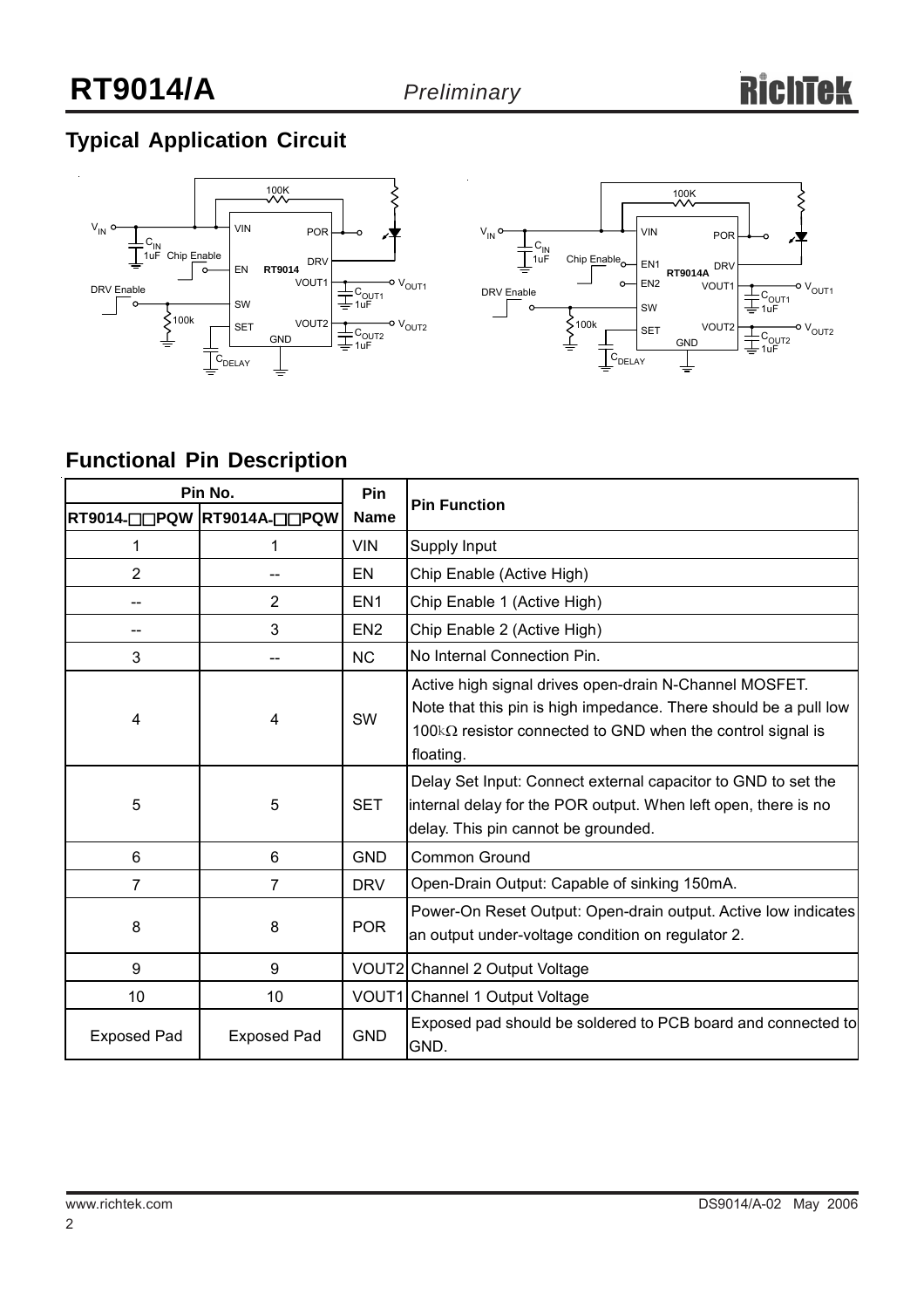# **Typical Application Circuit**





# **Functional Pin Description**

| Pin No.            |                            | Pin             | <b>Pin Function</b>                                                                                                                                                                                           |  |  |
|--------------------|----------------------------|-----------------|---------------------------------------------------------------------------------------------------------------------------------------------------------------------------------------------------------------|--|--|
|                    | RT9014-QQPQW RT9014A-QQPQW | <b>Name</b>     |                                                                                                                                                                                                               |  |  |
| 1                  | 1                          | <b>VIN</b>      | Supply Input                                                                                                                                                                                                  |  |  |
| $\overline{2}$     |                            | EN              | Chip Enable (Active High)                                                                                                                                                                                     |  |  |
|                    | 2                          | EN <sub>1</sub> | Chip Enable 1 (Active High)                                                                                                                                                                                   |  |  |
|                    | 3                          | EN <sub>2</sub> | Chip Enable 2 (Active High)                                                                                                                                                                                   |  |  |
| 3                  |                            | <b>NC</b>       | No Internal Connection Pin.                                                                                                                                                                                   |  |  |
| 4                  | 4                          | SW              | Active high signal drives open-drain N-Channel MOSFET.<br>Note that this pin is high impedance. There should be a pull low<br>100 $k\Omega$ resistor connected to GND when the control signal is<br>floating. |  |  |
| 5                  | 5                          | <b>SET</b>      | Delay Set Input: Connect external capacitor to GND to set the<br>internal delay for the POR output. When left open, there is no<br>delay. This pin cannot be grounded.                                        |  |  |
| 6                  | 6                          | <b>GND</b>      | Common Ground                                                                                                                                                                                                 |  |  |
| $\overline{7}$     | $\overline{7}$             | <b>DRV</b>      | Open-Drain Output: Capable of sinking 150mA.                                                                                                                                                                  |  |  |
| 8                  | 8                          | <b>POR</b>      | Power-On Reset Output: Open-drain output. Active low indicates<br>an output under-voltage condition on regulator 2.                                                                                           |  |  |
| 9                  | 9                          |                 | VOUT2 Channel 2 Output Voltage                                                                                                                                                                                |  |  |
| 10                 | 10                         |                 | VOUT1 Channel 1 Output Voltage                                                                                                                                                                                |  |  |
| <b>Exposed Pad</b> | <b>Exposed Pad</b>         | <b>GND</b>      | Exposed pad should be soldered to PCB board and connected to<br>GND.                                                                                                                                          |  |  |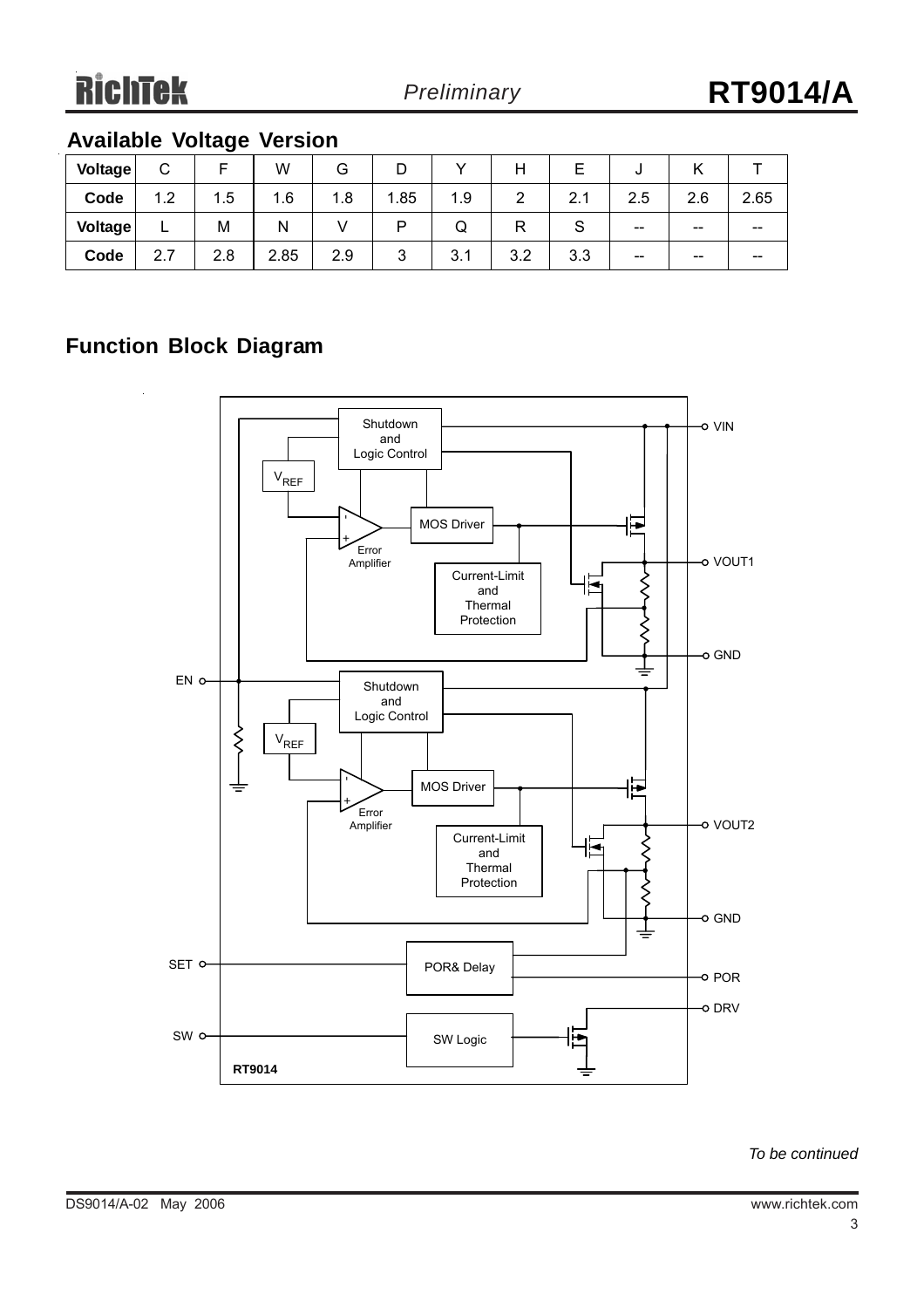## **Available Voltage Version**

| <b>Voltage</b> | ⌒<br>◡                    |     | W    | G   |        |     |     |            | υ     |                          |       |
|----------------|---------------------------|-----|------|-----|--------|-----|-----|------------|-------|--------------------------|-------|
| Code           | 1.2                       | 1.5 | 1.6  | 1.8 | .85    | 1.9 | ົ   | $\sim$     | 2.5   | 2.6                      | 2.65  |
| <b>Voltage</b> | -                         | M   | N    |     | D      | W   |     | ٮ          | $- -$ | $\overline{\phantom{m}}$ | --    |
| Code           | $\rightarrow$<br>ົ<br>۷.۱ | 2.8 | 2.85 | 2.9 | ◠<br>ີ | 3.1 | 3.2 | າ າ<br>ა.ა | $- -$ | $- -$                    | $- -$ |

#### **Function Block Diagram**



*To be continued*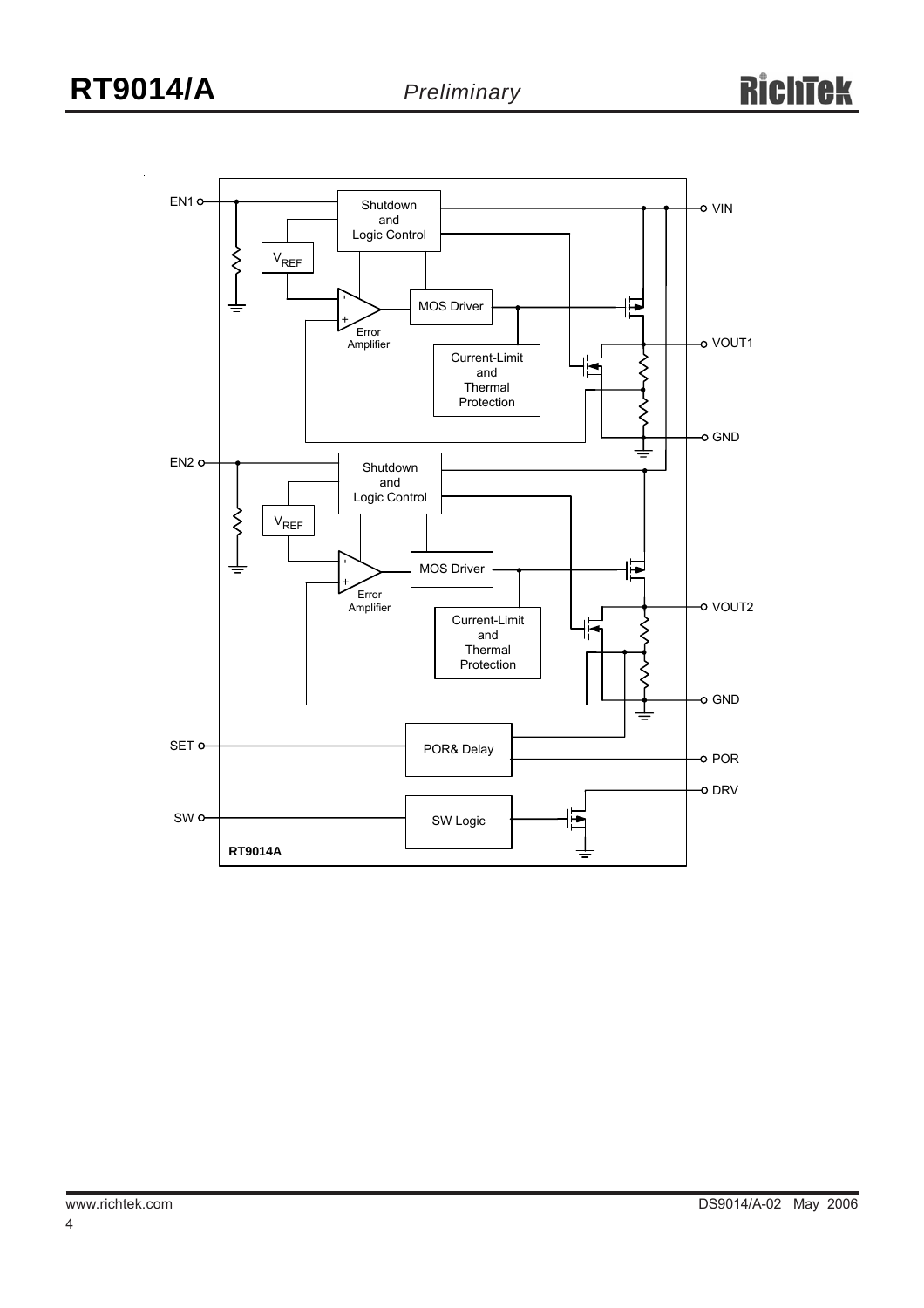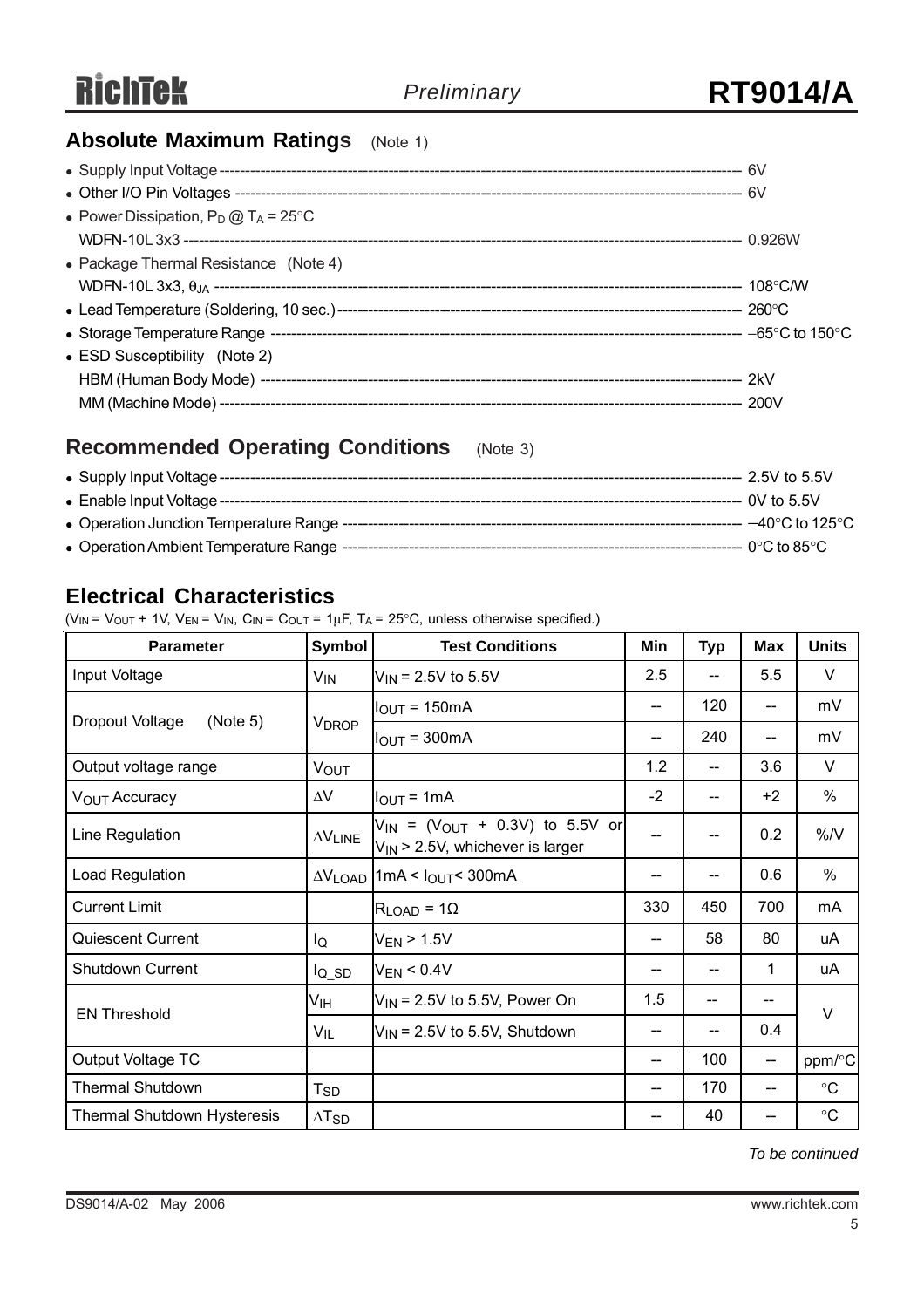### **Absolute Maximum Ratings** (Note 1)

| • Power Dissipation, $P_D @ T_A = 25^{\circ}C$ |  |
|------------------------------------------------|--|
|                                                |  |
| • Package Thermal Resistance (Note 4)          |  |
|                                                |  |
|                                                |  |
|                                                |  |
| • ESD Susceptibility (Note 2)                  |  |
|                                                |  |
|                                                |  |

### **Recommended Operating Conditions** (Note 3)

| • Supply Input Voltage ----                | $-2.5V$ to 5.5V              |
|--------------------------------------------|------------------------------|
| • Enable Input Voltage --------------      | -- 0V to 5.5V                |
| • Operation Junction Temperature Range --- | $-40^{\circ}$ C to 125°C $-$ |
| • Operation Ambient Temperature Range --   | -- 0°C to 85°C $\,$          |

#### **Electrical Characteristics**

( $V_{IN}$  =  $V_{OUT}$  + 1V,  $V_{EN}$  =  $V_{IN}$ ,  $C_{IN}$  =  $C_{OUT}$  = 1 $\mu$ F, T<sub>A</sub> = 25°C, unless otherwise specified.)

| <b>Parameter</b>                   | Symbol                     | <b>Test Conditions</b>                                                            | Min  | <b>Typ</b> | <b>Max</b>                            | <b>Units</b>      |  |
|------------------------------------|----------------------------|-----------------------------------------------------------------------------------|------|------------|---------------------------------------|-------------------|--|
| Input Voltage                      | $V_{IN}$                   | $V_{IN}$ = 2.5V to 5.5V                                                           | 2.5  |            | 5.5                                   | $\vee$            |  |
|                                    | <b>VDROP</b>               | $IOUT = 150mA$                                                                    | --   | 120        | --                                    | mV                |  |
| Dropout Voltage<br>(Note 5)        |                            | $I_{OUT} = 300mA$                                                                 | --   | 240        | $- -$                                 | mV                |  |
| Output voltage range               | <b>VOUT</b>                |                                                                                   | 1.2  |            | 3.6                                   | V                 |  |
| V <sub>OUT</sub> Accuracy          | $\Delta V$                 | $I_{\text{OUT}} = 1 \text{mA}$                                                    | $-2$ | $-$        | $+2$                                  | $\%$              |  |
| Line Regulation                    | $\Delta V$ LINE            | $V_{IN}$ = ( $V_{OUT}$ + 0.3V) to 5.5V or<br>$V_{IN}$ > 2.5V, whichever is larger | --   | $-$        | 0.2                                   | %N                |  |
| Load Regulation                    |                            | $\Delta V_{\text{LOAD}}$ 1 mA < $I_{\text{OUT}}$ 300 mA                           | --   |            | 0.6                                   | $\frac{0}{0}$     |  |
| <b>Current Limit</b>               |                            | $R_{LOAD} = 10$                                                                   | 330  | 450        | 700                                   | mA                |  |
| Quiescent Current                  | lQ                         | $V_{EN}$ > 1.5V                                                                   | --   | 58         | 80                                    | uA                |  |
| Shutdown Current                   | $I_{Q}$ SD                 | $V_{EN}$ < 0.4V                                                                   | --   |            | 1                                     | uA                |  |
| <b>EN Threshold</b>                | Ѵıн                        | $V_{\text{IN}}$ = 2.5V to 5.5V, Power On                                          | 1.5  | --         | --                                    | $\vee$            |  |
|                                    | $V_{IL}$                   | $V_{IN}$ = 2.5V to 5.5V, Shutdown                                                 | --   |            | 0.4                                   |                   |  |
| Output Voltage TC                  |                            |                                                                                   | $-$  | 100        | $\hspace{0.05cm}$ – $\hspace{0.05cm}$ | ppm/°C            |  |
| <b>Thermal Shutdown</b>            | $\mathsf{T}_{\mathsf{SD}}$ |                                                                                   | $-$  | 170        | --                                    | $\circ$ C         |  |
| <b>Thermal Shutdown Hysteresis</b> | $\Delta T_{SD}$            |                                                                                   | --   | 40         | --                                    | $^\circ \text{C}$ |  |

*To be continued*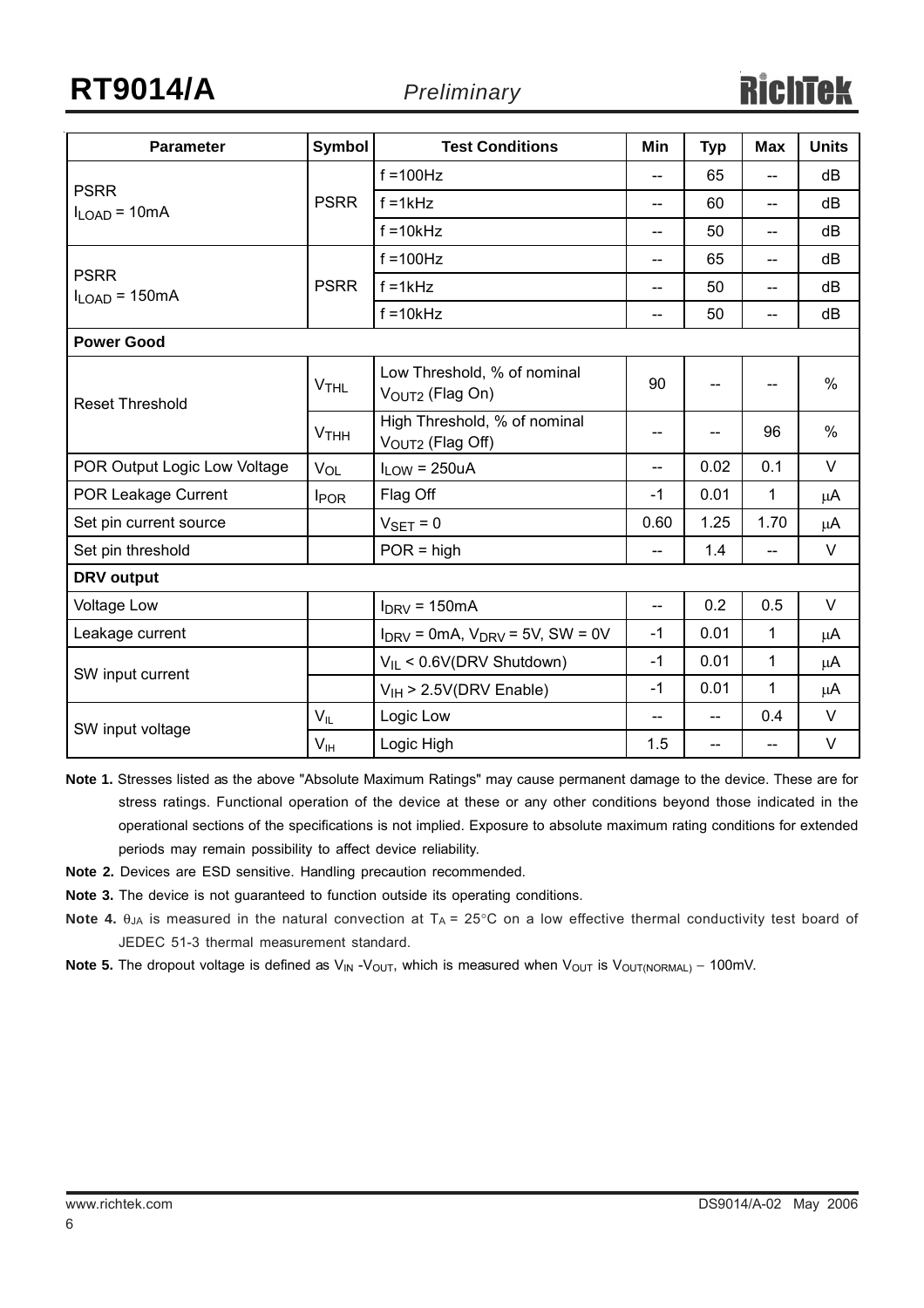# **RT9014/A** *Preliminary*

| <b>Parameter</b>                  | <b>Symbol</b>          | <b>Test Conditions</b>                                       | Min                                 | <b>Typ</b>     | <b>Max</b>                            | <b>Units</b> |
|-----------------------------------|------------------------|--------------------------------------------------------------|-------------------------------------|----------------|---------------------------------------|--------------|
|                                   |                        | $f = 100$ Hz                                                 | $-$                                 | 65             |                                       | dB           |
| <b>PSRR</b><br>$I_{LOAD} = 10mA$  | <b>PSRR</b>            | $f = 1kHz$                                                   | $-$                                 | 60             | $\overline{\phantom{a}}$              | dB           |
|                                   |                        | $f = 10k$ Hz                                                 | $\hspace{0.05cm}$ $\hspace{0.05cm}$ | 50             | $\hspace{0.05cm}$ – $\hspace{0.05cm}$ | dB           |
|                                   |                        | $f = 100$ Hz                                                 | $-$                                 | 65             | $-$                                   | dB           |
| <b>PSRR</b><br>$I_{LOAD}$ = 150mA | <b>PSRR</b>            | $f = 1kHz$                                                   | $-$                                 | 50             | $-$                                   | dB           |
|                                   |                        | $f = 10k$ Hz                                                 | --                                  | 50             | $-$                                   | dB           |
| <b>Power Good</b>                 |                        |                                                              |                                     |                |                                       |              |
| <b>Reset Threshold</b>            | <b>V<sub>THL</sub></b> | Low Threshold, % of nominal<br>VOUT2 (Flag On)               | 90                                  |                | $\overline{\phantom{a}}$              | $\%$         |
|                                   | <b>VTHH</b>            | High Threshold, % of nominal<br>V <sub>OUT2</sub> (Flag Off) | --                                  |                | 96                                    | $\%$         |
| POR Output Logic Low Voltage      | VOL                    | $I_{LOW} = 250uA$                                            | --                                  | 0.02           | 0.1                                   | V            |
| POR Leakage Current               | <b>I</b> POR           | Flag Off                                                     | $-1$                                | 0.01           | 1                                     | μA           |
| Set pin current source            |                        | $V_{\text{SET}} = 0$                                         | 0.60                                | 1.25           | 1.70                                  | μA           |
| Set pin threshold                 |                        | $POR = high$                                                 | $-$                                 | 1.4            | $-$                                   | $\vee$       |
| <b>DRV</b> output                 |                        |                                                              |                                     |                |                                       |              |
| <b>Voltage Low</b>                |                        | $I_{DRV}$ = 150mA                                            | $\overline{\phantom{a}}$            | 0.2            | 0.5                                   | $\vee$       |
| Leakage current                   |                        | $I_{DRV}$ = 0mA, $V_{DRV}$ = 5V, SW = 0V                     | $-1$                                | 0.01           | 1                                     | μA           |
| SW input current                  |                        | $V_{IL}$ < 0.6V(DRV Shutdown)                                | $-1$                                | 0.01           | 1                                     | μA           |
|                                   |                        | $V_{IH}$ > 2.5V(DRV Enable)                                  | $-1$                                | 0.01           | 1                                     | μA           |
| SW input voltage                  | $V_{IL}$               | Logic Low                                                    | $\overline{a}$                      | $\overline{a}$ | 0.4                                   | $\vee$       |
|                                   | $V_{\text{IH}}$        | Logic High                                                   | 1.5                                 | $-$            | $-$                                   | $\vee$       |

**Note 1.** Stresses listed as the above "Absolute Maximum Ratings" may cause permanent damage to the device. These are for stress ratings. Functional operation of the device at these or any other conditions beyond those indicated in the operational sections of the specifications is not implied. Exposure to absolute maximum rating conditions for extended periods may remain possibility to affect device reliability.

- **Note 2.** Devices are ESD sensitive. Handling precaution recommended.
- **Note 3.** The device is not guaranteed to function outside its operating conditions.
- **Note 4.** θ<sub>JA</sub> is measured in the natural convection at T<sub>A</sub> = 25°C on a low effective thermal conductivity test board of JEDEC 51-3 thermal measurement standard.
- Note 5. The dropout voltage is defined as V<sub>IN</sub> -V<sub>OUT</sub>, which is measured when V<sub>OUT</sub> is V<sub>OUT(NORMAL)</sub> 100mV.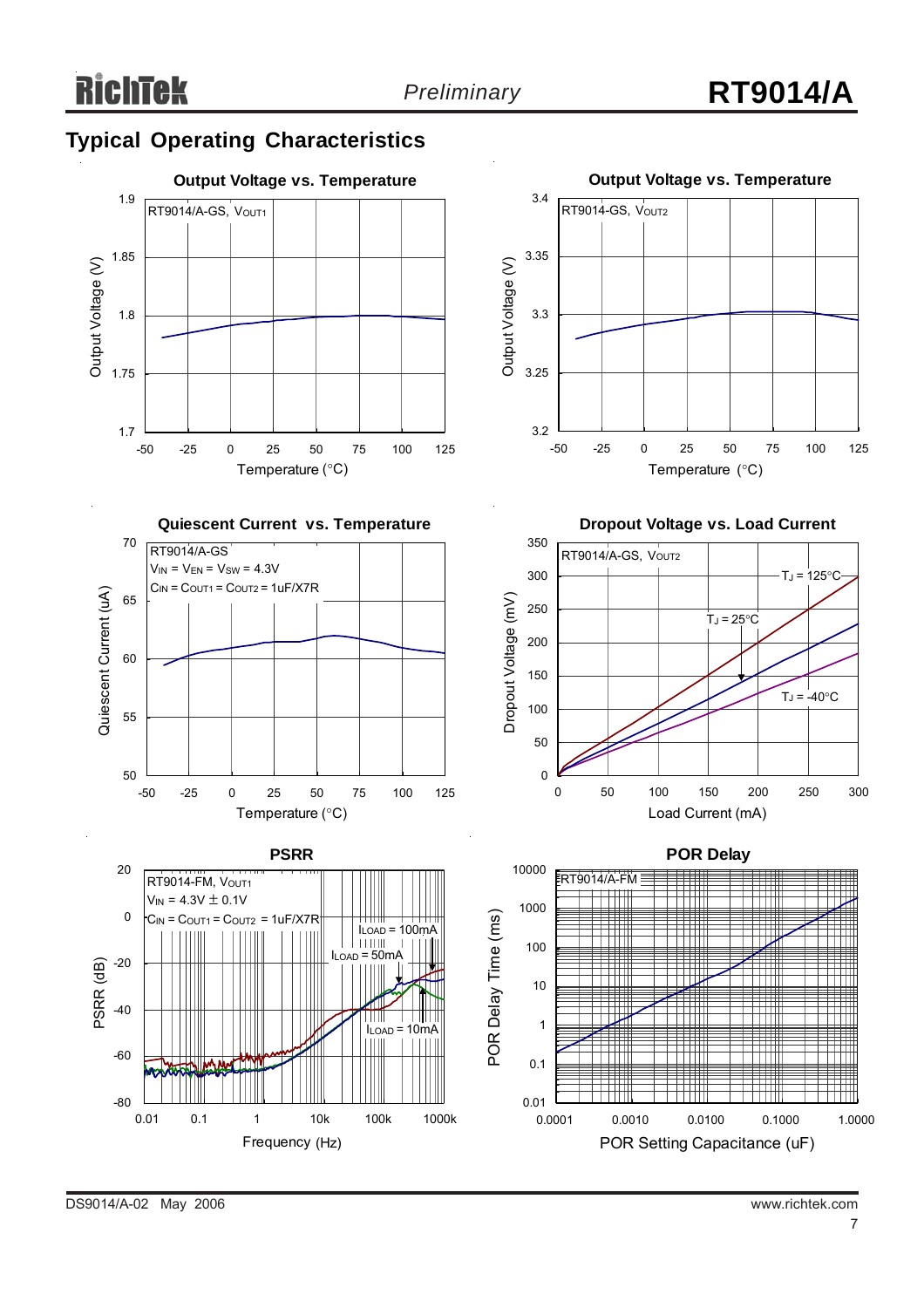#### **Typical Operating Characteristics**









10 100 1000 10000 100000 1000000 Frequency (Hz) (Hz)

0.01 0.1 1 10k 100k 1000k



**Dropout Voltage vs. Load Current**





DS9014/A-02 May 2006 www.richtek.com

-80

PSRR (dB)

PSRR<sub>(dB)</sub>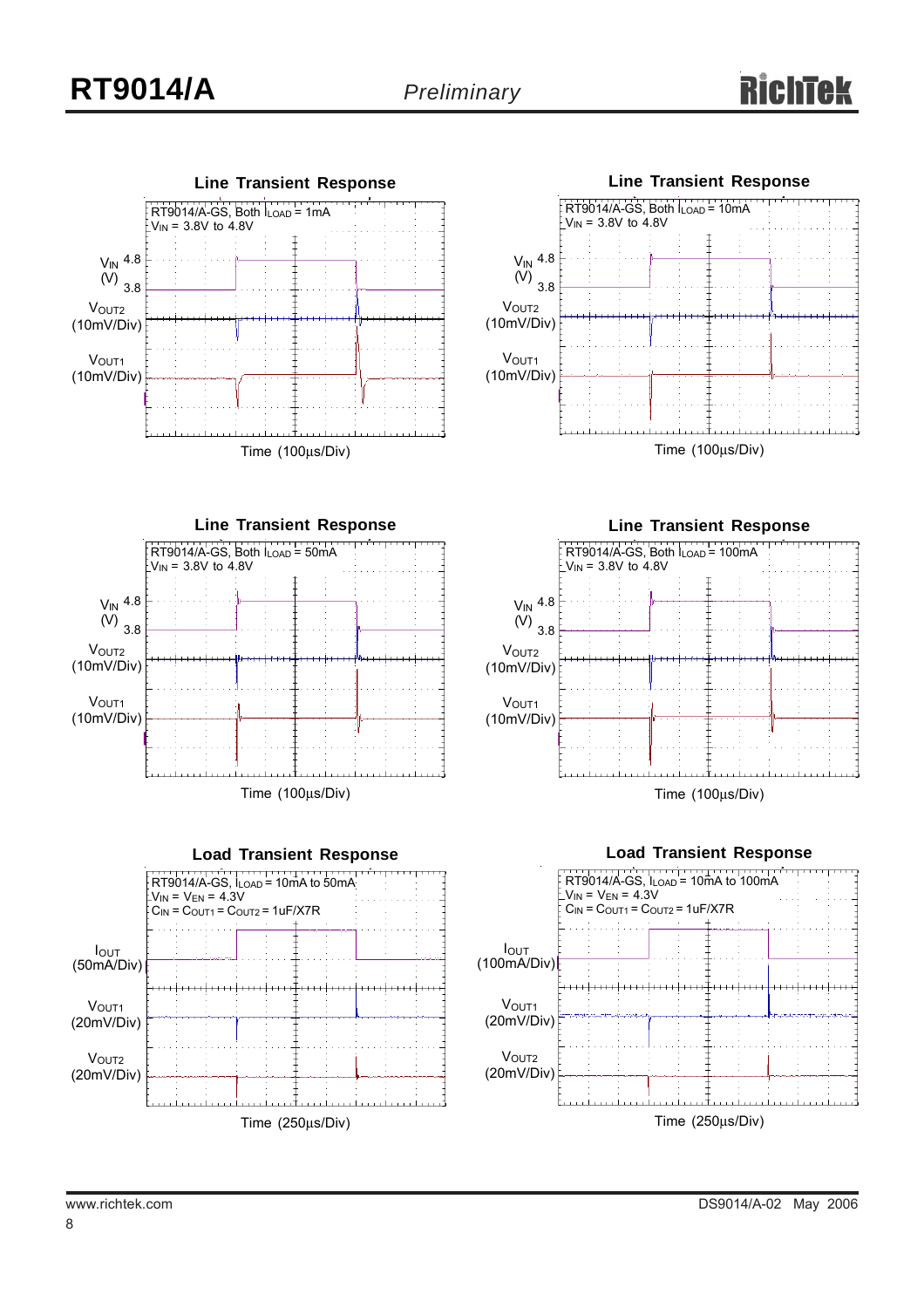











IOUT (100mA/Div) **VOUT2** VOUT<sub>1</sub> (20mV/Div)

(20mV/Div)

Time (250μs/Div)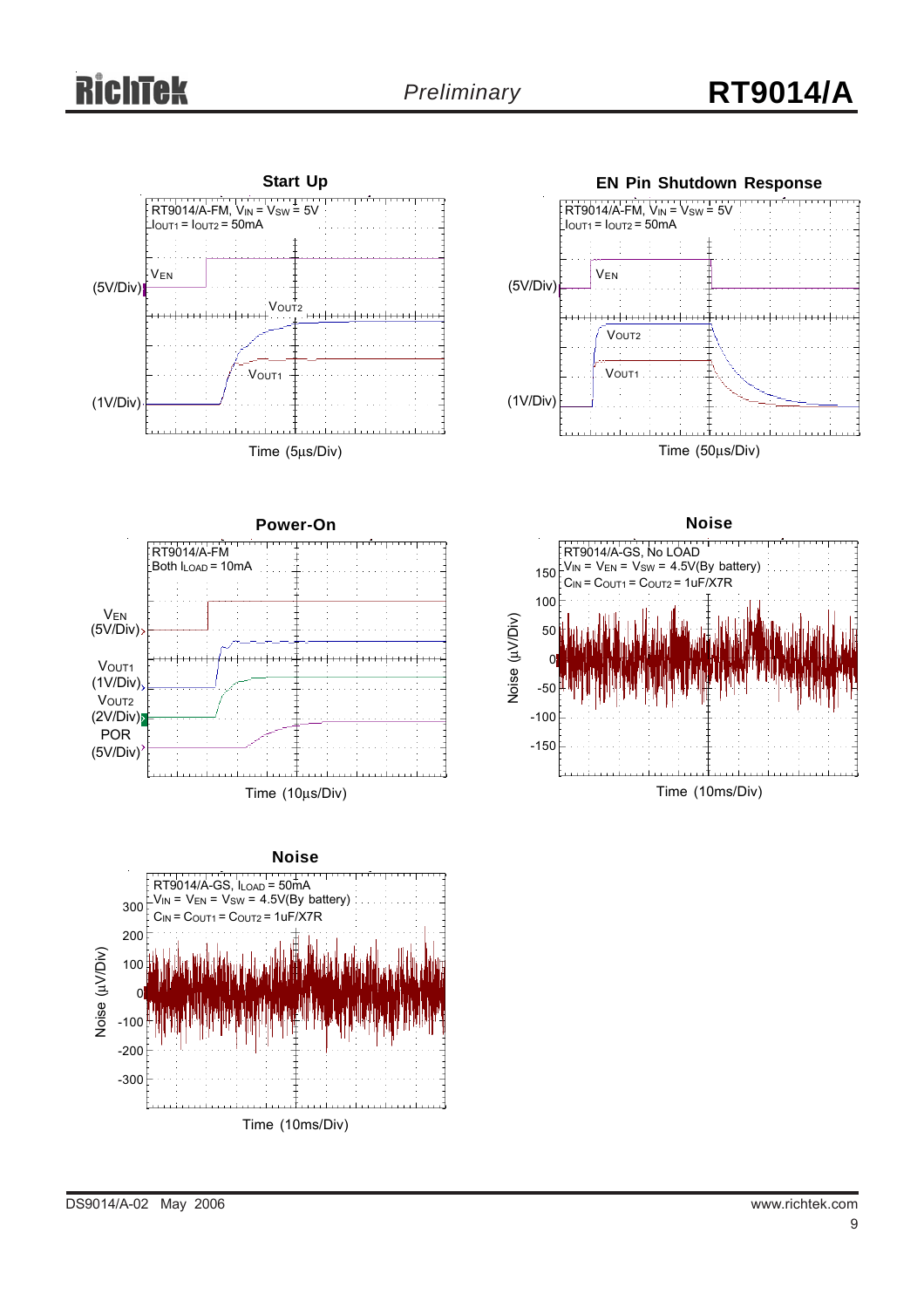# Tek



Time (10ms/Div)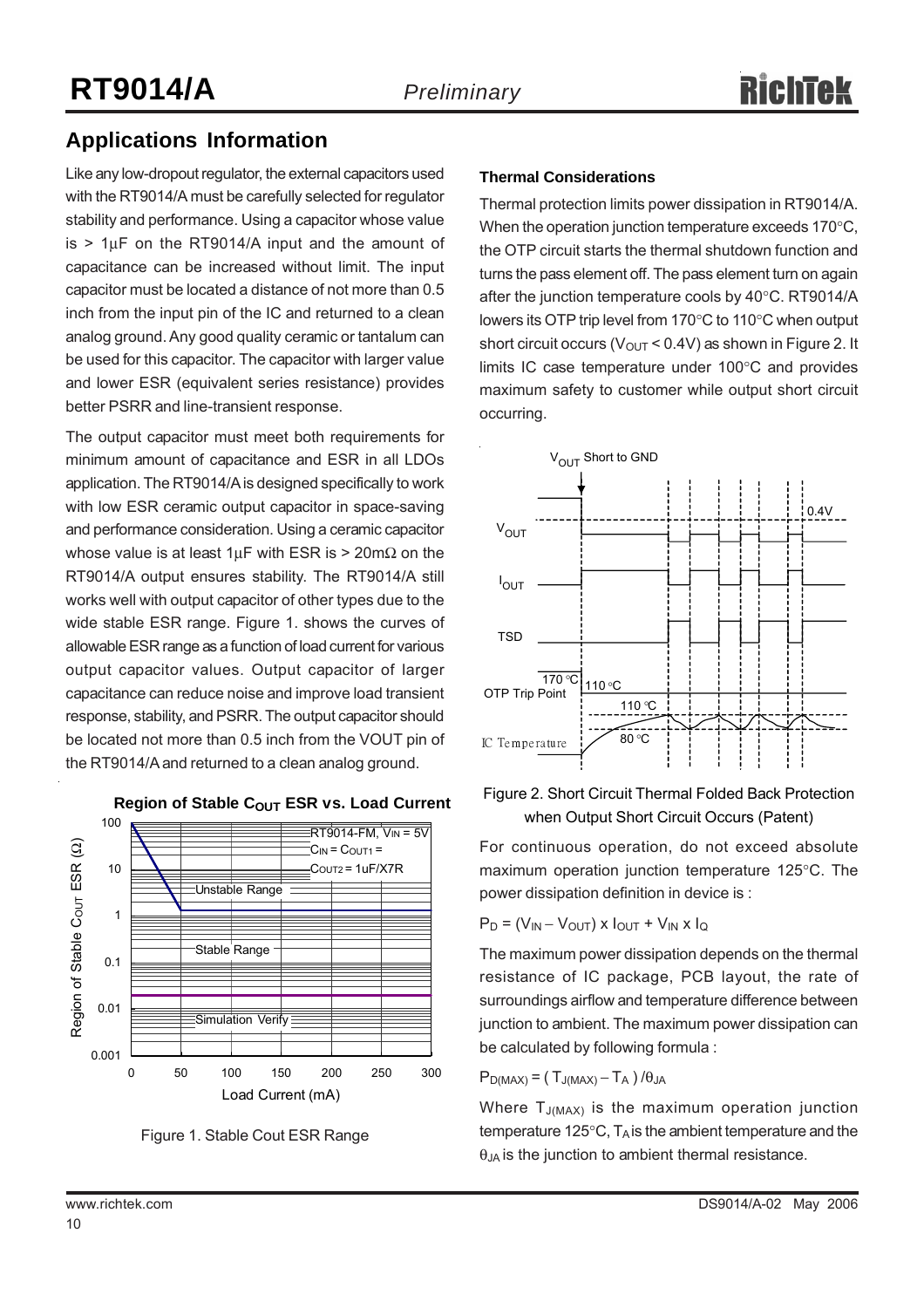#### **Applications Information**

Like any low-dropout regulator, the external capacitors used with the RT9014/A must be carefully selected for regulator stability and performance. Using a capacitor whose value  $is$  > 1 $\mu$ F on the RT9014/A input and the amount of capacitance can be increased without limit. The input capacitor must be located a distance of not more than 0.5 inch from the input pin of the IC and returned to a clean analog ground. Any good quality ceramic or tantalum can be used for this capacitor. The capacitor with larger value and lower ESR (equivalent series resistance) provides better PSRR and line-transient response.

The output capacitor must meet both requirements for minimum amount of capacitance and ESR in all LDOs application. The RT9014/A is designed specifically to work with low ESR ceramic output capacitor in space-saving and performance consideration. Using a ceramic capacitor whose value is at least  $1 \mu$ F with ESR is > 20m $\Omega$  on the RT9014/A output ensures stability. The RT9014/A still works well with output capacitor of other types due to the wide stable ESR range. Figure 1. shows the curves of allowable ESR range as a function of load current for various output capacitor values. Output capacitor of larger capacitance can reduce noise and improve load transient response, stability, and PSRR. The output capacitor should be located not more than 0.5 inch from the VOUT pin of the RT9014/A and returned to a clean analog ground.



**Region of Stable COUT ESR vs. Load Current** 

Figure 1. Stable Cout ESR Range

#### **Thermal Considerations**

Thermal protection limits power dissipation in RT9014/A. When the operation junction temperature exceeds 170°C, the OTP circuit starts the thermal shutdown function and turns the pass element off. The pass element turn on again after the junction temperature cools by 40°C. RT9014/A lowers its OTP trip level from 170°C to 110°C when output short circuit occurs ( $V_{\text{OUT}}$  < 0.4V) as shown in Figure 2. It limits IC case temperature under 100°C and provides maximum safety to customer while output short circuit occurring.



#### Figure 2. Short Circuit Thermal Folded Back Protection when Output Short Circuit Occurs (Patent)

For continuous operation, do not exceed absolute maximum operation junction temperature 125°C. The power dissipation definition in device is :

$$
P_D = (V_{IN} - V_{OUT}) \times I_{OUT} + V_{IN} \times I_Q
$$

The maximum power dissipation depends on the thermal resistance of IC package, PCB layout, the rate of surroundings airflow and temperature difference between junction to ambient. The maximum power dissipation can be calculated by following formula :

 $P_{D(MAX)} = (T_{J(MAX)} - T_A) / \theta_{JA}$ 

Where  $T_{J(MAX)}$  is the maximum operation junction temperature 125 $\degree$ C, T<sub>A</sub> is the ambient temperature and the  $\theta_{JA}$  is the junction to ambient thermal resistance.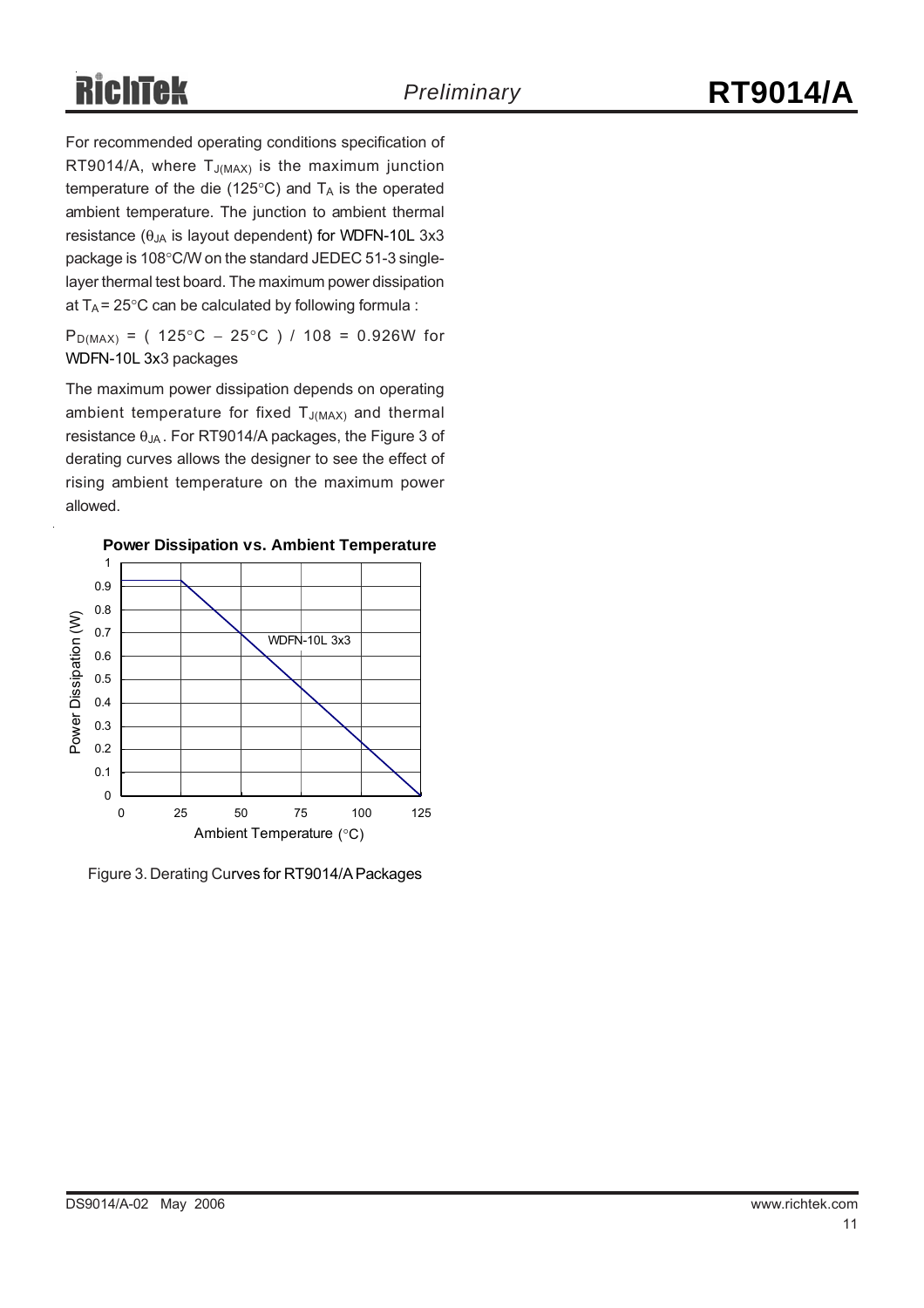# **RichTek**

For recommended operating conditions specification of RT9014/A, where  $T_{J(MAX)}$  is the maximum junction temperature of the die (125 $\degree$ C) and T<sub>A</sub> is the operated ambient temperature. The junction to ambient thermal resistance ( $\theta_{JA}$  is layout dependent) for WDFN-10L 3x3 package is 108°C/W on the standard JEDEC 51-3 singlelayer thermal test board. The maximum power dissipation at  $T_A$  = 25°C can be calculated by following formula :

P<sub>D(MAX)</sub> = (  $125^{\circ}$ C –  $25^{\circ}$ C ) /  $108$  = 0.926W for WDFN-10L 3x3 packages

The maximum power dissipation depends on operating ambient temperature for fixed  $T_{J(MAX)}$  and thermal resistance  $\theta_{JA}$ . For RT9014/A packages, the Figure 3 of derating curves allows the designer to see the effect of rising ambient temperature on the maximum power allowed.



Figure 3. Derating Curves for RT9014/A Packages